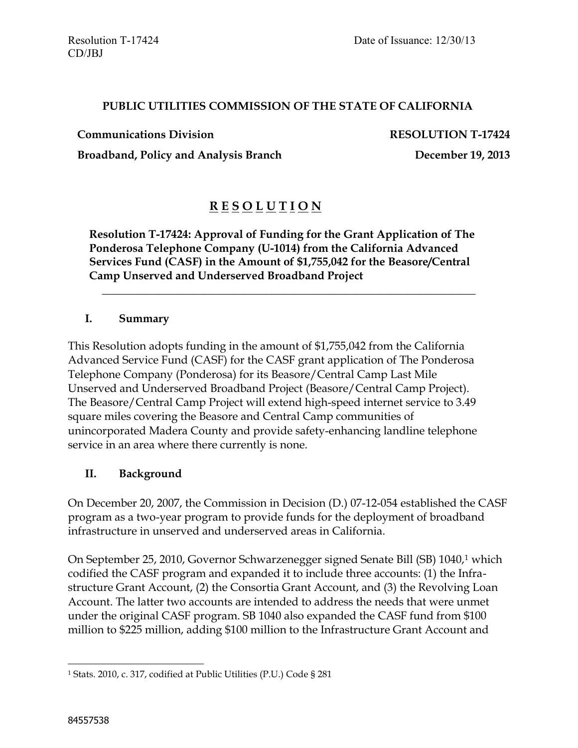### **PUBLIC UTILITIES COMMISSION OF THE STATE OF CALIFORNIA**

**Communications Division RESOLUTION T-17424**

Broadband, Policy and Analysis Branch December 19, 2013

# **R E S O L U T I O N**

**Resolution T-17424: Approval of Funding for the Grant Application of The Ponderosa Telephone Company (U-1014) from the California Advanced Services Fund (CASF) in the Amount of \$1,755,042 for the Beasore/Central Camp Unserved and Underserved Broadband Project**

\_\_\_\_\_\_\_\_\_\_\_\_\_\_\_\_\_\_\_\_\_\_\_\_\_\_\_\_\_\_\_\_\_\_\_\_\_\_\_\_\_\_\_\_\_\_\_\_\_\_\_\_\_\_\_\_\_\_\_\_\_\_\_\_\_\_

### **I. Summary**

This Resolution adopts funding in the amount of \$1,755,042 from the California Advanced Service Fund (CASF) for the CASF grant application of The Ponderosa Telephone Company (Ponderosa) for its Beasore/Central Camp Last Mile Unserved and Underserved Broadband Project (Beasore/Central Camp Project). The Beasore/Central Camp Project will extend high-speed internet service to 3.49 square miles covering the Beasore and Central Camp communities of unincorporated Madera County and provide safety-enhancing landline telephone service in an area where there currently is none.

## **II. Background**

On December 20, 2007, the Commission in Decision (D.) 07-12-054 established the CASF program as a two-year program to provide funds for the deployment of broadband infrastructure in unserved and underserved areas in California.

On September 25, 2010, Governor Schwarzenegger signed Senate Bill (SB) 1040,<sup>1</sup> which codified the CASF program and expanded it to include three accounts: (1) the Infrastructure Grant Account, (2) the Consortia Grant Account, and (3) the Revolving Loan Account. The latter two accounts are intended to address the needs that were unmet under the original CASF program. SB 1040 also expanded the CASF fund from \$100 million to \$225 million, adding \$100 million to the Infrastructure Grant Account and

 $\overline{a}$ 

<sup>1</sup> Stats. 2010, c. 317, codified at Public Utilities (P.U.) Code § 281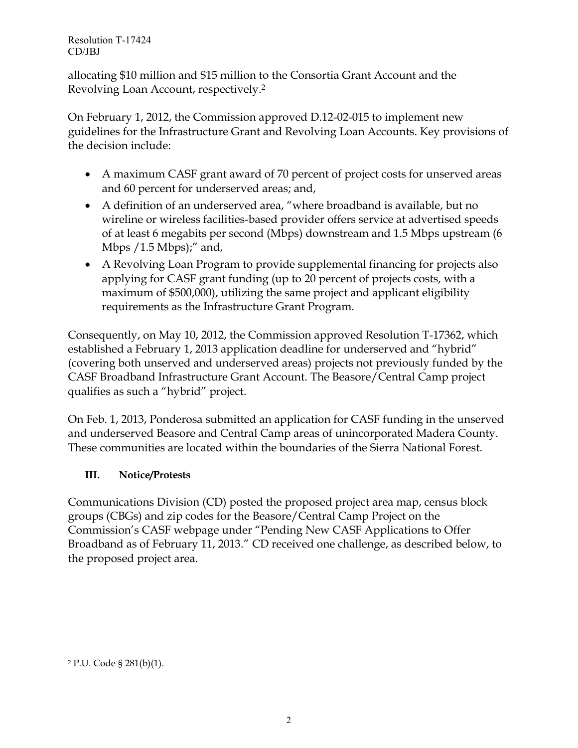allocating \$10 million and \$15 million to the Consortia Grant Account and the Revolving Loan Account, respectively.<sup>2</sup>

On February 1, 2012, the Commission approved D.12-02-015 to implement new guidelines for the Infrastructure Grant and Revolving Loan Accounts. Key provisions of the decision include:

- A maximum CASF grant award of 70 percent of project costs for unserved areas and 60 percent for underserved areas; and,
- A definition of an underserved area, "where broadband is available, but no wireline or wireless facilities-based provider offers service at advertised speeds of at least 6 megabits per second (Mbps) downstream and 1.5 Mbps upstream (6 Mbps / 1.5 Mbps);" and,
- A Revolving Loan Program to provide supplemental financing for projects also applying for CASF grant funding (up to 20 percent of projects costs, with a maximum of \$500,000), utilizing the same project and applicant eligibility requirements as the Infrastructure Grant Program.

Consequently, on May 10, 2012, the Commission approved Resolution T-17362, which established a February 1, 2013 application deadline for underserved and "hybrid" (covering both unserved and underserved areas) projects not previously funded by the CASF Broadband Infrastructure Grant Account. The Beasore/Central Camp project qualifies as such a "hybrid" project.

On Feb. 1, 2013, Ponderosa submitted an application for CASF funding in the unserved and underserved Beasore and Central Camp areas of unincorporated Madera County. These communities are located within the boundaries of the Sierra National Forest.

# **III. Notice/Protests**

Communications Division (CD) posted the proposed project area map, census block groups (CBGs) and zip codes for the Beasore/Central Camp Project on the Commission's CASF webpage under "Pending New CASF Applications to Offer Broadband as of February 11, 2013." CD received one challenge, as described below, to the proposed project area.

 $\overline{a}$ 

<sup>2</sup> P.U. Code § 281(b)(1).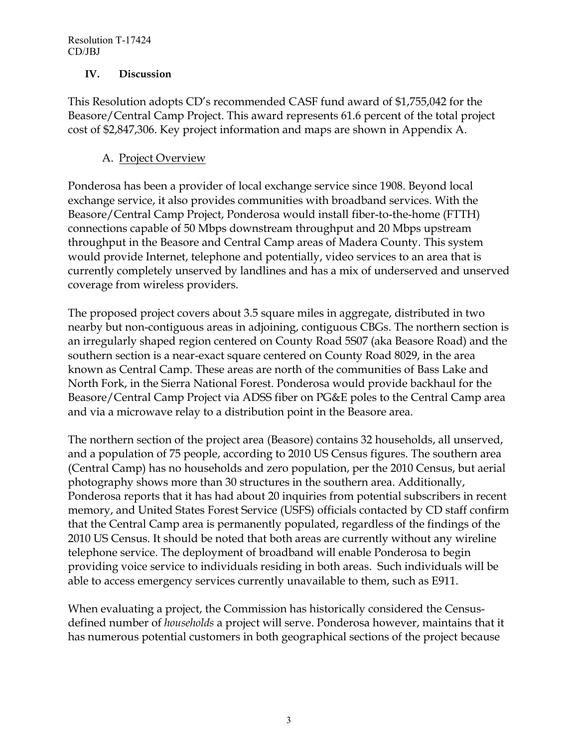### **IV. Discussion**

This Resolution adopts CD's recommended CASF fund award of \$1,755,042 for the Beasore/Central Camp Project. This award represents 61.6 percent of the total project cost of \$2,847,306. Key project information and maps are shown in Appendix A.

## A. Project Overview

Ponderosa has been a provider of local exchange service since 1908. Beyond local exchange service, it also provides communities with broadband services. With the Beasore/Central Camp Project, Ponderosa would install fiber-to-the-home (FTTH) connections capable of 50 Mbps downstream throughput and 20 Mbps upstream throughput in the Beasore and Central Camp areas of Madera County. This system would provide Internet, telephone and potentially, video services to an area that is currently completely unserved by landlines and has a mix of underserved and unserved coverage from wireless providers.

The proposed project covers about 3.5 square miles in aggregate, distributed in two nearby but non-contiguous areas in adjoining, contiguous CBGs. The northern section is an irregularly shaped region centered on County Road 5S07 (aka Beasore Road) and the southern section is a near-exact square centered on County Road 8029, in the area known as Central Camp. These areas are north of the communities of Bass Lake and North Fork, in the Sierra National Forest. Ponderosa would provide backhaul for the Beasore/Central Camp Project via ADSS fiber on PG&E poles to the Central Camp area and via a microwave relay to a distribution point in the Beasore area.

The northern section of the project area (Beasore) contains 32 households, all unserved, and a population of 75 people, according to 2010 US Census figures. The southern area (Central Camp) has no households and zero population, per the 2010 Census, but aerial photography shows more than 30 structures in the southern area. Additionally, Ponderosa reports that it has had about 20 inquiries from potential subscribers in recent memory, and United States Forest Service (USFS) officials contacted by CD staff confirm that the Central Camp area is permanently populated, regardless of the findings of the 2010 US Census. It should be noted that both areas are currently without any wireline telephone service. The deployment of broadband will enable Ponderosa to begin providing voice service to individuals residing in both areas. Such individuals will be able to access emergency services currently unavailable to them, such as E911.

When evaluating a project, the Commission has historically considered the Censusdefined number of *households* a project will serve. Ponderosa however, maintains that it has numerous potential customers in both geographical sections of the project because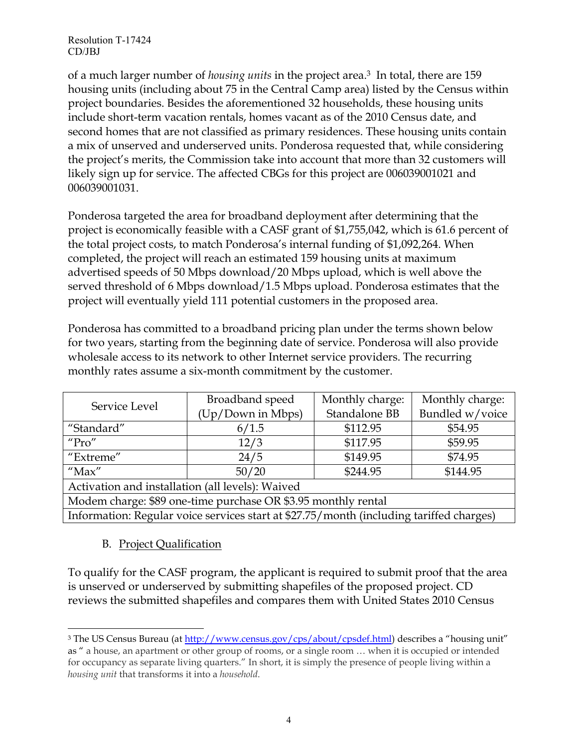of a much larger number of *housing units* in the project area. <sup>3</sup> In total, there are 159 housing units (including about 75 in the Central Camp area) listed by the Census within project boundaries. Besides the aforementioned 32 households, these housing units include short-term vacation rentals, homes vacant as of the 2010 Census date, and second homes that are not classified as primary residences. These housing units contain a mix of unserved and underserved units. Ponderosa requested that, while considering the project's merits, the Commission take into account that more than 32 customers will likely sign up for service. The affected CBGs for this project are 006039001021 and 006039001031.

Ponderosa targeted the area for broadband deployment after determining that the project is economically feasible with a CASF grant of \$1,755,042, which is 61.6 percent of the total project costs, to match Ponderosa's internal funding of \$1,092,264. When completed, the project will reach an estimated 159 housing units at maximum advertised speeds of 50 Mbps download/20 Mbps upload, which is well above the served threshold of 6 Mbps download/1.5 Mbps upload. Ponderosa estimates that the project will eventually yield 111 potential customers in the proposed area.

Ponderosa has committed to a broadband pricing plan under the terms shown below for two years, starting from the beginning date of service. Ponderosa will also provide wholesale access to its network to other Internet service providers. The recurring monthly rates assume a six-month commitment by the customer.

| Service Level                                                                           | Broadband speed   | Monthly charge: | Monthly charge: |  |
|-----------------------------------------------------------------------------------------|-------------------|-----------------|-----------------|--|
|                                                                                         | (Up/Down in Mbps) | Standalone BB   | Bundled w/voice |  |
| "Standard"                                                                              | 6/1.5             | \$112.95        | \$54.95         |  |
| " $Pro"$                                                                                | 12/3              | \$117.95        | \$59.95         |  |
| "Extreme"                                                                               | 24/5              | \$149.95        | \$74.95         |  |
| $"$ Max"                                                                                | 50/20             | \$244.95        | \$144.95        |  |
| Activation and installation (all levels): Waived                                        |                   |                 |                 |  |
| Modem charge: \$89 one-time purchase OR \$3.95 monthly rental                           |                   |                 |                 |  |
| Information: Regular voice services start at \$27.75/month (including tariffed charges) |                   |                 |                 |  |

## B. Project Qualification

 $\overline{a}$ 

To qualify for the CASF program, the applicant is required to submit proof that the area is unserved or underserved by submitting shapefiles of the proposed project. CD reviews the submitted shapefiles and compares them with United States 2010 Census

<sup>&</sup>lt;sup>3</sup> The US Census Bureau (a[t http://www.census.gov/cps/about/cpsdef.html\)](http://www.census.gov/cps/about/cpsdef.html) describes a "housing unit" as " a house, an apartment or other group of rooms, or a single room … when it is occupied or intended for occupancy as separate living quarters." In short, it is simply the presence of people living within a *housing unit* that transforms it into a *household*.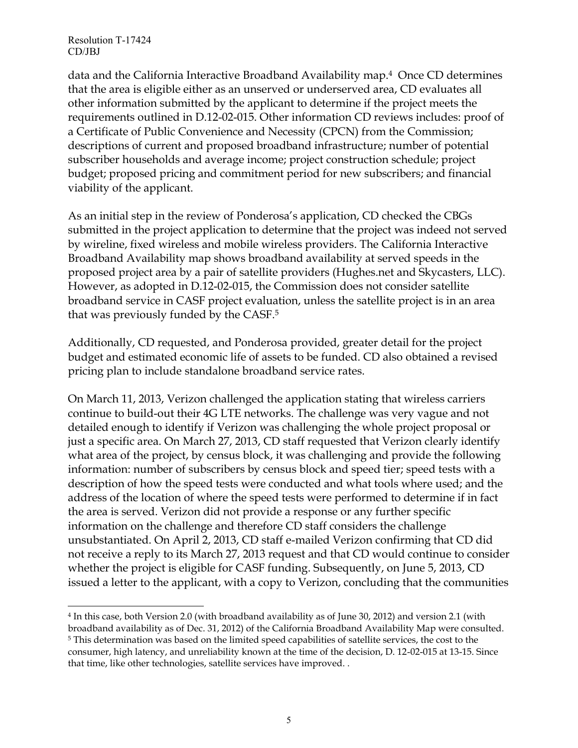data and the California Interactive Broadband Availability map. <sup>4</sup> Once CD determines that the area is eligible either as an unserved or underserved area, CD evaluates all other information submitted by the applicant to determine if the project meets the requirements outlined in D.12-02-015. Other information CD reviews includes: proof of a Certificate of Public Convenience and Necessity (CPCN) from the Commission; descriptions of current and proposed broadband infrastructure; number of potential subscriber households and average income; project construction schedule; project budget; proposed pricing and commitment period for new subscribers; and financial viability of the applicant.

As an initial step in the review of Ponderosa's application, CD checked the CBGs submitted in the project application to determine that the project was indeed not served by wireline, fixed wireless and mobile wireless providers. The California Interactive Broadband Availability map shows broadband availability at served speeds in the proposed project area by a pair of satellite providers (Hughes.net and Skycasters, LLC). However, as adopted in D.12-02-015, the Commission does not consider satellite broadband service in CASF project evaluation, unless the satellite project is in an area that was previously funded by the CASF.<sup>5</sup>

Additionally, CD requested, and Ponderosa provided, greater detail for the project budget and estimated economic life of assets to be funded. CD also obtained a revised pricing plan to include standalone broadband service rates.

On March 11, 2013, Verizon challenged the application stating that wireless carriers continue to build-out their 4G LTE networks. The challenge was very vague and not detailed enough to identify if Verizon was challenging the whole project proposal or just a specific area. On March 27, 2013, CD staff requested that Verizon clearly identify what area of the project, by census block, it was challenging and provide the following information: number of subscribers by census block and speed tier; speed tests with a description of how the speed tests were conducted and what tools where used; and the address of the location of where the speed tests were performed to determine if in fact the area is served. Verizon did not provide a response or any further specific information on the challenge and therefore CD staff considers the challenge unsubstantiated. On April 2, 2013, CD staff e-mailed Verizon confirming that CD did not receive a reply to its March 27, 2013 request and that CD would continue to consider whether the project is eligible for CASF funding. Subsequently, on June 5, 2013, CD issued a letter to the applicant, with a copy to Verizon, concluding that the communities

 $\overline{a}$ 4 In this case, both Version 2.0 (with broadband availability as of June 30, 2012) and version 2.1 (with broadband availability as of Dec. 31, 2012) of the California Broadband Availability Map were consulted. <sup>5</sup> This determination was based on the limited speed capabilities of satellite services, the cost to the consumer, high latency, and unreliability known at the time of the decision, D. 12-02-015 at 13-15. Since that time, like other technologies, satellite services have improved. .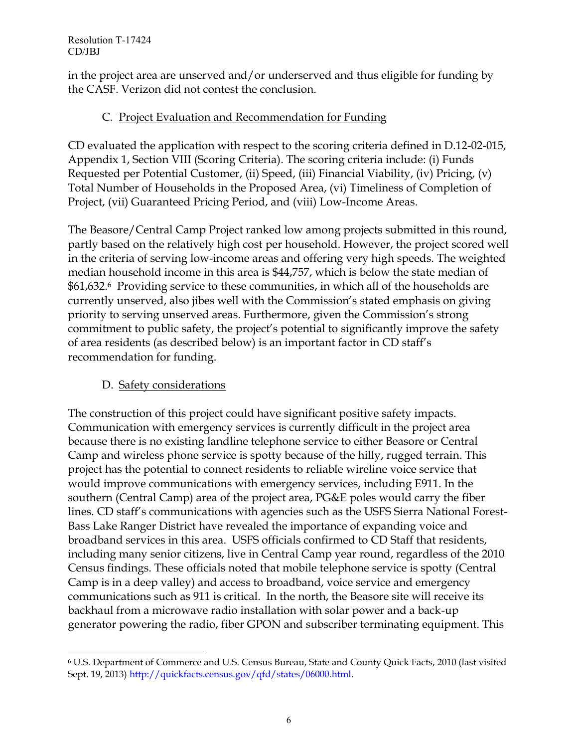in the project area are unserved and/or underserved and thus eligible for funding by the CASF. Verizon did not contest the conclusion.

## C. Project Evaluation and Recommendation for Funding

CD evaluated the application with respect to the scoring criteria defined in D.12-02-015, Appendix 1, Section VIII (Scoring Criteria). The scoring criteria include: (i) Funds Requested per Potential Customer, (ii) Speed, (iii) Financial Viability, (iv) Pricing, (v) Total Number of Households in the Proposed Area, (vi) Timeliness of Completion of Project, (vii) Guaranteed Pricing Period, and (viii) Low-Income Areas.

The Beasore/Central Camp Project ranked low among projects submitted in this round, partly based on the relatively high cost per household. However, the project scored well in the criteria of serving low-income areas and offering very high speeds. The weighted median household income in this area is \$44,757, which is below the state median of \$61,632.6 Providing service to these communities, in which all of the households are currently unserved, also jibes well with the Commission's stated emphasis on giving priority to serving unserved areas. Furthermore, given the Commission's strong commitment to public safety, the project's potential to significantly improve the safety of area residents (as described below) is an important factor in CD staff's recommendation for funding.

## D. Safety considerations

 $\overline{a}$ 

The construction of this project could have significant positive safety impacts. Communication with emergency services is currently difficult in the project area because there is no existing landline telephone service to either Beasore or Central Camp and wireless phone service is spotty because of the hilly, rugged terrain. This project has the potential to connect residents to reliable wireline voice service that would improve communications with emergency services, including E911. In the southern (Central Camp) area of the project area, PG&E poles would carry the fiber lines. CD staff's communications with agencies such as the USFS Sierra National Forest-Bass Lake Ranger District have revealed the importance of expanding voice and broadband services in this area. USFS officials confirmed to CD Staff that residents, including many senior citizens, live in Central Camp year round, regardless of the 2010 Census findings. These officials noted that mobile telephone service is spotty (Central Camp is in a deep valley) and access to broadband, voice service and emergency communications such as 911 is critical. In the north, the Beasore site will receive its backhaul from a microwave radio installation with solar power and a back-up generator powering the radio, fiber GPON and subscriber terminating equipment. This

<sup>6</sup> U.S. Department of Commerce and U.S. Census Bureau, State and County Quick Facts, 2010 (last visited Sept. 19, 2013) http://quickfacts.census.gov/qfd/states/06000.html.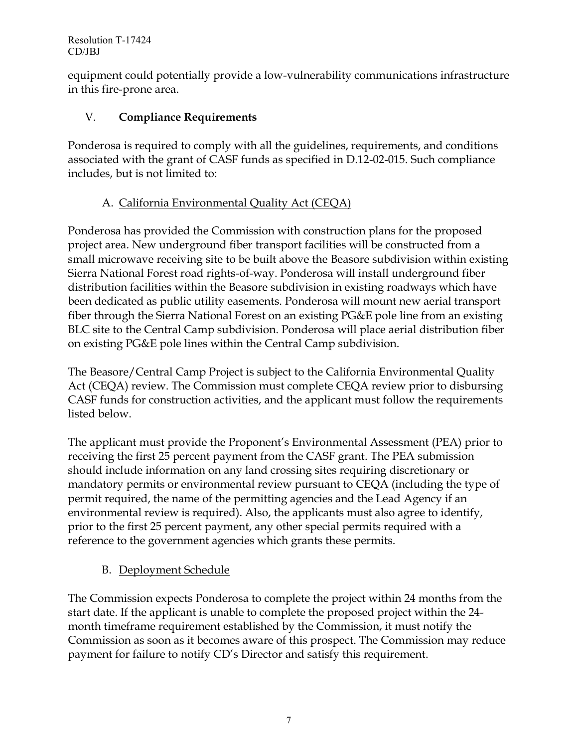equipment could potentially provide a low-vulnerability communications infrastructure in this fire-prone area.

# V. **Compliance Requirements**

Ponderosa is required to comply with all the guidelines, requirements, and conditions associated with the grant of CASF funds as specified in D.12-02-015. Such compliance includes, but is not limited to:

# A. California Environmental Quality Act (CEQA)

Ponderosa has provided the Commission with construction plans for the proposed project area. New underground fiber transport facilities will be constructed from a small microwave receiving site to be built above the Beasore subdivision within existing Sierra National Forest road rights-of-way. Ponderosa will install underground fiber distribution facilities within the Beasore subdivision in existing roadways which have been dedicated as public utility easements. Ponderosa will mount new aerial transport fiber through the Sierra National Forest on an existing PG&E pole line from an existing BLC site to the Central Camp subdivision. Ponderosa will place aerial distribution fiber on existing PG&E pole lines within the Central Camp subdivision.

The Beasore/Central Camp Project is subject to the California Environmental Quality Act (CEQA) review. The Commission must complete CEQA review prior to disbursing CASF funds for construction activities, and the applicant must follow the requirements listed below.

The applicant must provide the Proponent's Environmental Assessment (PEA) prior to receiving the first 25 percent payment from the CASF grant. The PEA submission should include information on any land crossing sites requiring discretionary or mandatory permits or environmental review pursuant to CEQA (including the type of permit required, the name of the permitting agencies and the Lead Agency if an environmental review is required). Also, the applicants must also agree to identify, prior to the first 25 percent payment, any other special permits required with a reference to the government agencies which grants these permits.

# B. Deployment Schedule

The Commission expects Ponderosa to complete the project within 24 months from the start date. If the applicant is unable to complete the proposed project within the 24 month timeframe requirement established by the Commission, it must notify the Commission as soon as it becomes aware of this prospect. The Commission may reduce payment for failure to notify CD's Director and satisfy this requirement.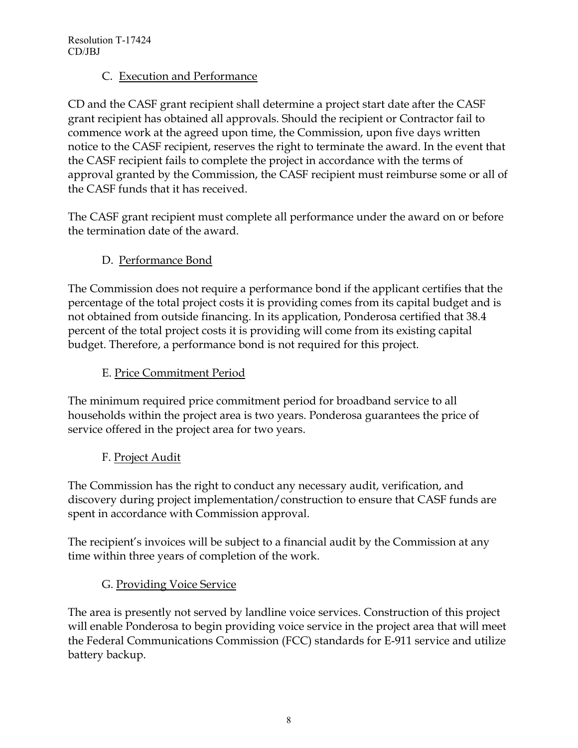## C. Execution and Performance

CD and the CASF grant recipient shall determine a project start date after the CASF grant recipient has obtained all approvals. Should the recipient or Contractor fail to commence work at the agreed upon time, the Commission, upon five days written notice to the CASF recipient, reserves the right to terminate the award. In the event that the CASF recipient fails to complete the project in accordance with the terms of approval granted by the Commission, the CASF recipient must reimburse some or all of the CASF funds that it has received.

The CASF grant recipient must complete all performance under the award on or before the termination date of the award.

D. Performance Bond

The Commission does not require a performance bond if the applicant certifies that the percentage of the total project costs it is providing comes from its capital budget and is not obtained from outside financing. In its application, Ponderosa certified that 38.4 percent of the total project costs it is providing will come from its existing capital budget. Therefore, a performance bond is not required for this project.

## E. Price Commitment Period

The minimum required price commitment period for broadband service to all households within the project area is two years. Ponderosa guarantees the price of service offered in the project area for two years.

F. Project Audit

The Commission has the right to conduct any necessary audit, verification, and discovery during project implementation/construction to ensure that CASF funds are spent in accordance with Commission approval.

The recipient's invoices will be subject to a financial audit by the Commission at any time within three years of completion of the work.

# G. Providing Voice Service

The area is presently not served by landline voice services. Construction of this project will enable Ponderosa to begin providing voice service in the project area that will meet the Federal Communications Commission (FCC) standards for E-911 service and utilize battery backup.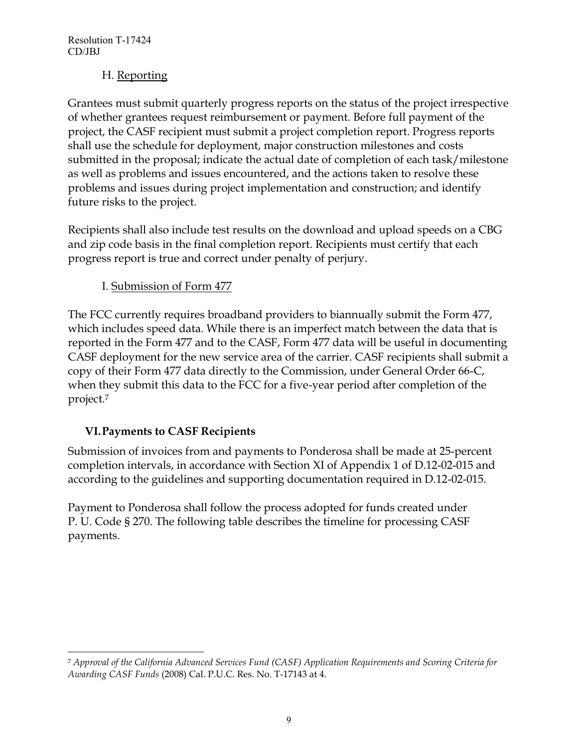## H. Reporting

Grantees must submit quarterly progress reports on the status of the project irrespective of whether grantees request reimbursement or payment. Before full payment of the project, the CASF recipient must submit a project completion report. Progress reports shall use the schedule for deployment, major construction milestones and costs submitted in the proposal; indicate the actual date of completion of each task/milestone as well as problems and issues encountered, and the actions taken to resolve these problems and issues during project implementation and construction; and identify future risks to the project.

Recipients shall also include test results on the download and upload speeds on a CBG and zip code basis in the final completion report. Recipients must certify that each progress report is true and correct under penalty of perjury.

# I. Submission of Form 477

The FCC currently requires broadband providers to biannually submit the Form 477, which includes speed data. While there is an imperfect match between the data that is reported in the Form 477 and to the CASF, Form 477 data will be useful in documenting CASF deployment for the new service area of the carrier. CASF recipients shall submit a copy of their Form 477 data directly to the Commission, under General Order 66-C, when they submit this data to the FCC for a five-year period after completion of the project.<sup>7</sup>

# **VI.Payments to CASF Recipients**

Submission of invoices from and payments to Ponderosa shall be made at 25-percent completion intervals, in accordance with Section XI of Appendix 1 of D.12-02-015 and according to the guidelines and supporting documentation required in D.12-02-015.

Payment to Ponderosa shall follow the process adopted for funds created under P. U. Code § 270. The following table describes the timeline for processing CASF payments.

 $\overline{a}$ <sup>7</sup> *Approval of the California Advanced Services Fund (CASF) Application Requirements and Scoring Criteria for Awarding CASF Funds* (2008) Cal. P.U.C. Res. No. T-17143 at 4.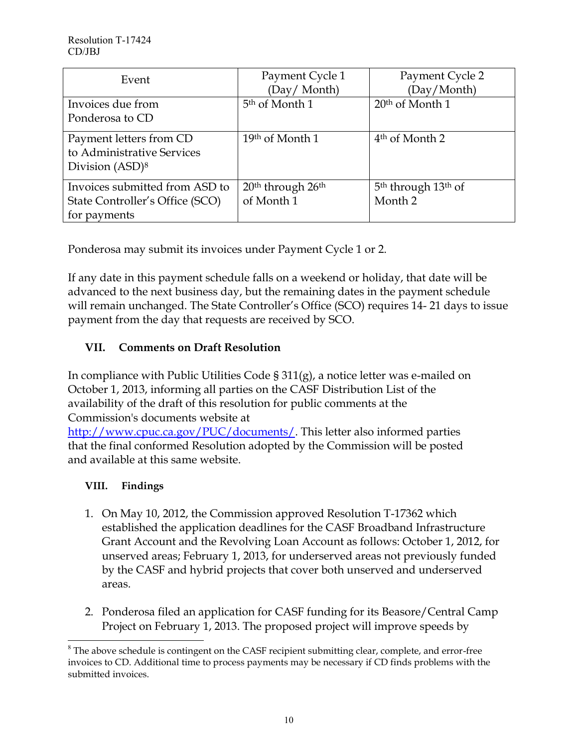| Event                           | Payment Cycle 1                           | Payment Cycle 2                             |
|---------------------------------|-------------------------------------------|---------------------------------------------|
|                                 | (Day/Month)                               | (Day/Month)                                 |
| Invoices due from               | 5 <sup>th</sup> of Month 1                | $20th$ of Month 1                           |
| Ponderosa to CD                 |                                           |                                             |
| Payment letters from CD         | 19th of Month 1                           | 4 <sup>th</sup> of Month 2                  |
| to Administrative Services      |                                           |                                             |
| Division $(ASD)^8$              |                                           |                                             |
| Invoices submitted from ASD to  | 20 <sup>th</sup> through 26 <sup>th</sup> | 5 <sup>th</sup> through 13 <sup>th</sup> of |
| State Controller's Office (SCO) | of Month 1                                | Month 2                                     |
| for payments                    |                                           |                                             |

Ponderosa may submit its invoices under Payment Cycle 1 or 2.

If any date in this payment schedule falls on a weekend or holiday, that date will be advanced to the next business day, but the remaining dates in the payment schedule will remain unchanged. The State Controller's Office (SCO) requires 14- 21 days to issue payment from the day that requests are received by SCO.

# **VII. Comments on Draft Resolution**

In compliance with Public Utilities Code § 311(g), a notice letter was e-mailed on October 1, 2013, informing all parties on the CASF Distribution List of the availability of the draft of this resolution for public comments at the Commission's documents website at

[http://www.cpuc.ca.gov/PUC/documents/.](http://www.cpuc.ca.gov/PUC/documents/) This letter also informed parties that the final conformed Resolution adopted by the Commission will be posted and available at this same website.

# **VIII. Findings**

- 1. On May 10, 2012, the Commission approved Resolution T-17362 which established the application deadlines for the CASF Broadband Infrastructure Grant Account and the Revolving Loan Account as follows: October 1, 2012, for unserved areas; February 1, 2013, for underserved areas not previously funded by the CASF and hybrid projects that cover both unserved and underserved areas.
- 2. Ponderosa filed an application for CASF funding for its Beasore/Central Camp Project on February 1, 2013. The proposed project will improve speeds by

 $\overline{a}$ <sup>8</sup> The above schedule is contingent on the CASF recipient submitting clear, complete, and error-free invoices to CD. Additional time to process payments may be necessary if CD finds problems with the submitted invoices.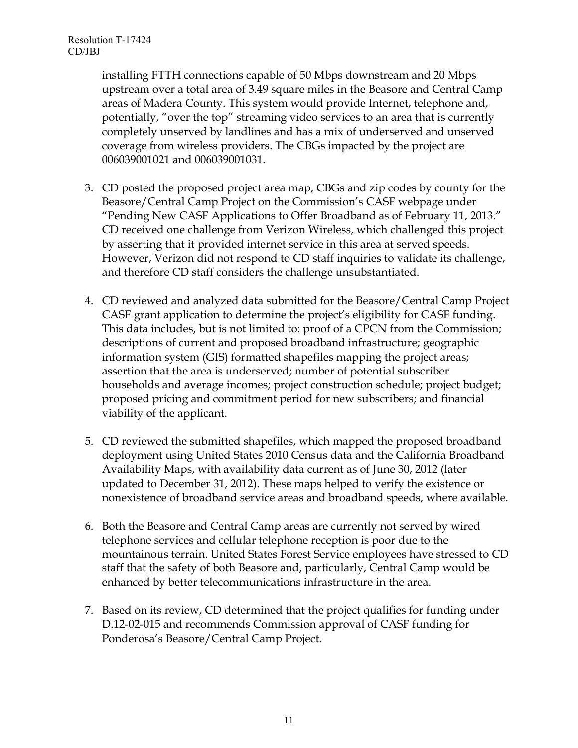installing FTTH connections capable of 50 Mbps downstream and 20 Mbps upstream over a total area of 3.49 square miles in the Beasore and Central Camp areas of Madera County. This system would provide Internet, telephone and, potentially, "over the top" streaming video services to an area that is currently completely unserved by landlines and has a mix of underserved and unserved coverage from wireless providers. The CBGs impacted by the project are 006039001021 and 006039001031.

- 3. CD posted the proposed project area map, CBGs and zip codes by county for the Beasore/Central Camp Project on the Commission's CASF webpage under "Pending New CASF Applications to Offer Broadband as of February 11, 2013." CD received one challenge from Verizon Wireless, which challenged this project by asserting that it provided internet service in this area at served speeds. However, Verizon did not respond to CD staff inquiries to validate its challenge, and therefore CD staff considers the challenge unsubstantiated.
- 4. CD reviewed and analyzed data submitted for the Beasore/Central Camp Project CASF grant application to determine the project's eligibility for CASF funding. This data includes, but is not limited to: proof of a CPCN from the Commission; descriptions of current and proposed broadband infrastructure; geographic information system (GIS) formatted shapefiles mapping the project areas; assertion that the area is underserved; number of potential subscriber households and average incomes; project construction schedule; project budget; proposed pricing and commitment period for new subscribers; and financial viability of the applicant.
- 5. CD reviewed the submitted shapefiles, which mapped the proposed broadband deployment using United States 2010 Census data and the California Broadband Availability Maps, with availability data current as of June 30, 2012 (later updated to December 31, 2012). These maps helped to verify the existence or nonexistence of broadband service areas and broadband speeds, where available.
- 6. Both the Beasore and Central Camp areas are currently not served by wired telephone services and cellular telephone reception is poor due to the mountainous terrain. United States Forest Service employees have stressed to CD staff that the safety of both Beasore and, particularly, Central Camp would be enhanced by better telecommunications infrastructure in the area.
- 7. Based on its review, CD determined that the project qualifies for funding under D.12-02-015 and recommends Commission approval of CASF funding for Ponderosa's Beasore/Central Camp Project.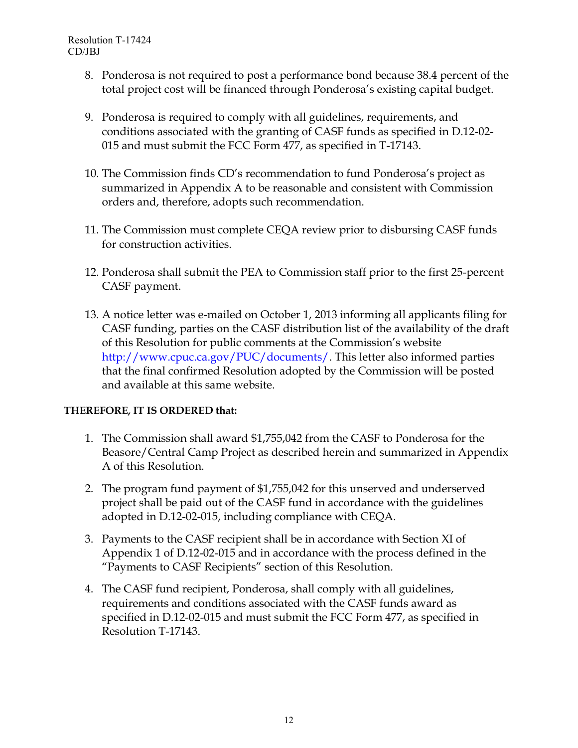- 8. Ponderosa is not required to post a performance bond because 38.4 percent of the total project cost will be financed through Ponderosa's existing capital budget.
- 9. Ponderosa is required to comply with all guidelines, requirements, and conditions associated with the granting of CASF funds as specified in D.12-02- 015 and must submit the FCC Form 477, as specified in T-17143.
- 10. The Commission finds CD's recommendation to fund Ponderosa's project as summarized in Appendix A to be reasonable and consistent with Commission orders and, therefore, adopts such recommendation.
- 11. The Commission must complete CEQA review prior to disbursing CASF funds for construction activities.
- 12. Ponderosa shall submit the PEA to Commission staff prior to the first 25-percent CASF payment.
- 13. A notice letter was e-mailed on October 1, 2013 informing all applicants filing for CASF funding, parties on the CASF distribution list of the availability of the draft of this Resolution for public comments at the Commission's website http://www.cpuc.ca.gov/PUC/documents/. This letter also informed parties that the final confirmed Resolution adopted by the Commission will be posted and available at this same website.

### **THEREFORE, IT IS ORDERED that:**

- 1. The Commission shall award \$1,755,042 from the CASF to Ponderosa for the Beasore/Central Camp Project as described herein and summarized in Appendix A of this Resolution.
- 2. The program fund payment of \$1,755,042 for this unserved and underserved project shall be paid out of the CASF fund in accordance with the guidelines adopted in D.12-02-015, including compliance with CEQA.
- 3. Payments to the CASF recipient shall be in accordance with Section XI of Appendix 1 of D.12-02-015 and in accordance with the process defined in the "Payments to CASF Recipients" section of this Resolution.
- 4. The CASF fund recipient, Ponderosa, shall comply with all guidelines, requirements and conditions associated with the CASF funds award as specified in D.12-02-015 and must submit the FCC Form 477, as specified in Resolution T-17143.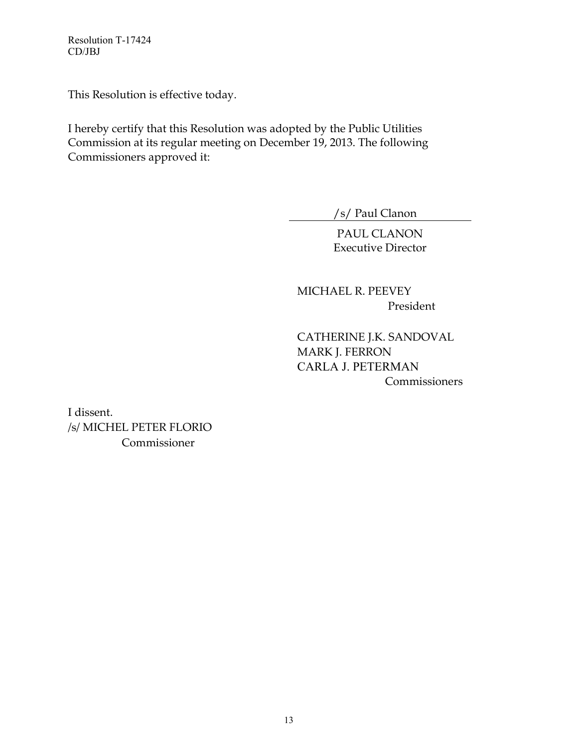This Resolution is effective today.

I hereby certify that this Resolution was adopted by the Public Utilities Commission at its regular meeting on December 19, 2013. The following Commissioners approved it:

/s/ Paul Clanon

PAUL CLANON Executive Director

MICHAEL R. PEEVEY President

CATHERINE J.K. SANDOVAL MARK J. FERRON CARLA J. PETERMAN **Commissioners** 

I dissent. /s/ MICHEL PETER FLORIO Commissioner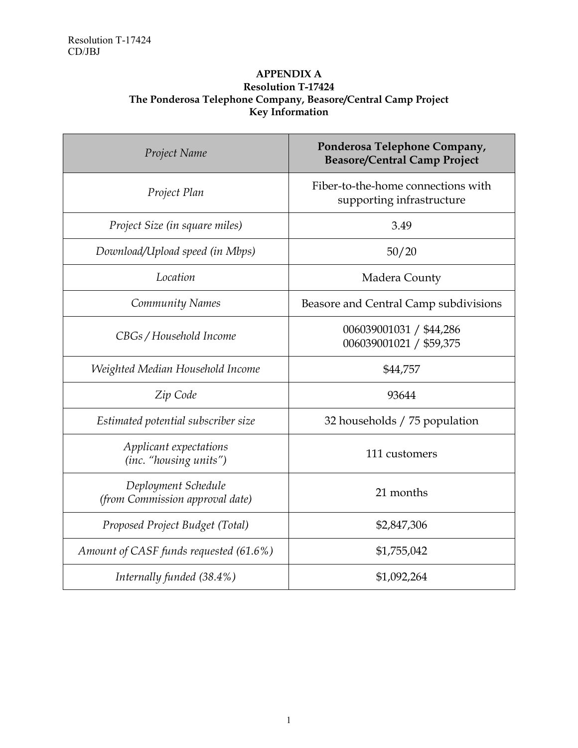#### **APPENDIX A Resolution T-17424 The Ponderosa Telephone Company, Beasore/Central Camp Project Key Information**

| Project Name                                           | Ponderosa Telephone Company,<br><b>Beasore/Central Camp Project</b> |  |
|--------------------------------------------------------|---------------------------------------------------------------------|--|
| Project Plan                                           | Fiber-to-the-home connections with<br>supporting infrastructure     |  |
| Project Size (in square miles)                         | 3.49                                                                |  |
| Download/Upload speed (in Mbps)                        | 50/20                                                               |  |
| Location                                               | Madera County                                                       |  |
| Community Names                                        | Beasore and Central Camp subdivisions                               |  |
| CBGs / Household Income                                | 006039001031 / \$44,286<br>006039001021 / \$59,375                  |  |
| Weighted Median Household Income                       | \$44,757                                                            |  |
| Zip Code                                               | 93644                                                               |  |
| Estimated potential subscriber size                    | 32 households / 75 population                                       |  |
| Applicant expectations<br>(inc. "housing units")       | 111 customers                                                       |  |
| Deployment Schedule<br>(from Commission approval date) | 21 months                                                           |  |
| Proposed Project Budget (Total)                        | \$2,847,306                                                         |  |
| Amount of CASF funds requested (61.6%)                 | \$1,755,042                                                         |  |
| Internally funded (38.4%)                              | \$1,092,264                                                         |  |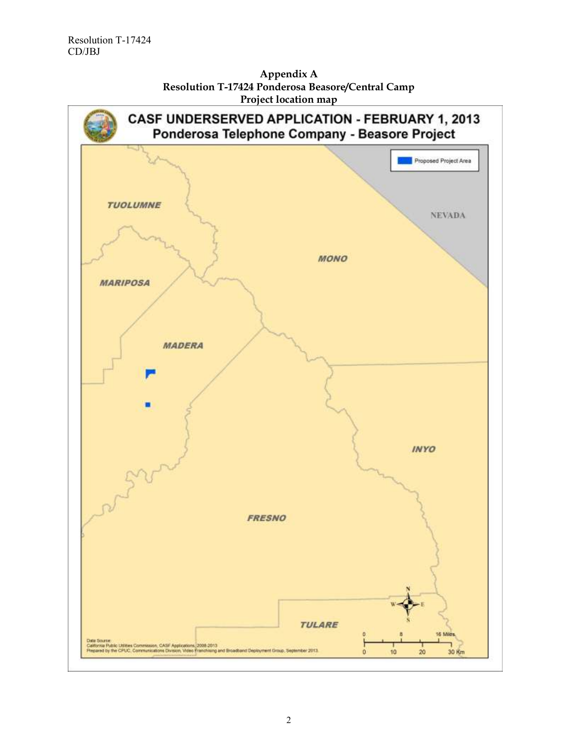

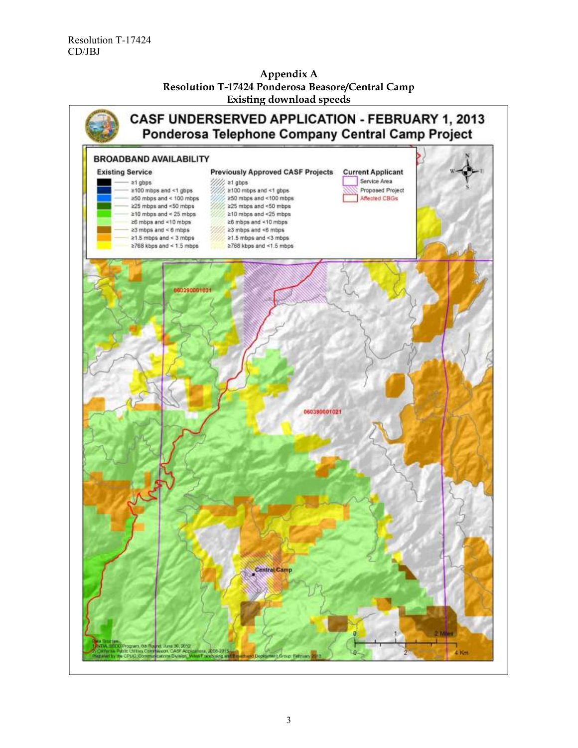